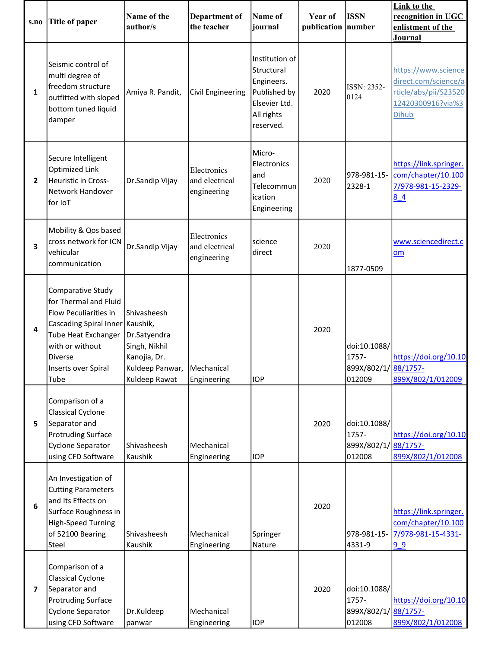| s.no           | Title of paper                                                                                                                                                                             | Name of the<br>author/s                                                                                       | <b>Department of</b><br>the teacher          | Name of<br>journal                                                                                     | Year of<br>publication number | <b>ISSN</b>                                             | Link to the<br>recognition in UGC<br>enlistment of the<br>Journal                                         |
|----------------|--------------------------------------------------------------------------------------------------------------------------------------------------------------------------------------------|---------------------------------------------------------------------------------------------------------------|----------------------------------------------|--------------------------------------------------------------------------------------------------------|-------------------------------|---------------------------------------------------------|-----------------------------------------------------------------------------------------------------------|
| 1              | Seismic control of<br>multi degree of<br>freedom structure<br>outfitted with sloped<br>bottom tuned liquid<br>damper                                                                       | Amiya R. Pandit,                                                                                              | <b>Civil Engineering</b>                     | Institution of<br>Structural<br>Engineers.<br>Published by<br>Elsevier Ltd.<br>All rights<br>reserved. | 2020                          | <b>ISSN: 2352-</b><br>0124                              | https://www.science<br>direct.com/science/a<br>rticle/abs/pii/S23520<br>12420300916?via%3<br><b>Dihub</b> |
| $\mathbf{2}$   | Secure Intelligent<br>Optimized Link<br>Heuristic in Cross-<br>Network Handover<br>for IoT                                                                                                 | Dr.Sandip Vijay                                                                                               | Electronics<br>and electrical<br>engineering | Micro-<br>Electronics<br>and<br>Telecommun<br>ication<br>Engineering                                   | 2020                          | 978-981-15-<br>2328-1                                   | https://link.springer.<br>com/chapter/10.100<br>7/978-981-15-2329-<br>84                                  |
| 3              | Mobility & Qos based<br>cross network for ICN<br>vehicular<br>communication                                                                                                                | Dr.Sandip Vijay                                                                                               | Electronics<br>and electrical<br>engineering | science<br>direct                                                                                      | 2020                          | 1877-0509                                               | www.sciencedirect.c<br>om                                                                                 |
| 4              | Comparative Study<br>for Thermal and Fluid<br>Flow Peculiarities in<br>Cascading Spiral Inner Kaushik,<br>Tube Heat Exchanger<br>with or without<br>Diverse<br>Inserts over Spiral<br>Tube | Shivasheesh<br>Dr.Satyendra<br>Singh, Nikhil<br>Kanojia, Dr.<br>Kuldeep Panwar,   Mechanical<br>Kuldeep Rawat | Engineering                                  | <b>IOP</b>                                                                                             | 2020                          | doi:10.1088/<br>1757-<br>899X/802/1/38/1757-<br>012009  | https://doi.org/10.10<br>899X/802/1/012009                                                                |
| 5.             | Comparison of a<br><b>Classical Cyclone</b><br>Separator and<br><b>Protruding Surface</b><br>Cyclone Separator<br>using CFD Software                                                       | Shivasheesh<br>Kaushik                                                                                        | Mechanical<br>Engineering                    | <b>IOP</b>                                                                                             | 2020                          | doi:10.1088/<br>1757-<br>899X/802/1/38/1757-<br>012008  | https://doi.org/10.10<br>899X/802/1/012008                                                                |
| 6              | An Investigation of<br><b>Cutting Parameters</b><br>and Its Effects on<br>Surface Roughness in<br>High-Speed Turning<br>of 52100 Bearing<br>Steel                                          | Shivasheesh<br>Kaushik                                                                                        | Mechanical<br>Engineering                    | Springer<br>Nature                                                                                     | 2020                          | 978-981-15-<br>4331-9                                   | https://link.springer.<br>com/chapter/10.100<br>7/978-981-15-4331-<br>99                                  |
| $\overline{ }$ | Comparison of a<br><b>Classical Cyclone</b><br>Separator and<br><b>Protruding Surface</b><br>Cyclone Separator<br>using CFD Software                                                       | Dr.Kuldeep<br>panwar                                                                                          | Mechanical<br>Engineering                    | <b>IOP</b>                                                                                             | 2020                          | doi:10.1088/<br>1757-<br>899X/802/1/ 88/1757-<br>012008 | https://doi.org/10.10<br>899X/802/1/012008                                                                |